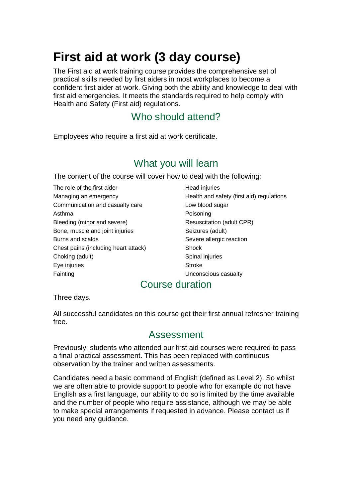# **First aid at work (3 day course)**

The First aid at work training course provides the comprehensive set of practical skills needed by first aiders in most workplaces to become a confident first aider at work. Giving both the ability and knowledge to deal with first aid emergencies. It meets the standards required to help comply with Health and Safety (First aid) regulations.

# Who should attend?

Employees who require a first aid at work certificate.

# What you will learn

The content of the course will cover how to deal with the following:

The role of the first aider **Head injuries** Communication and casualty care **Low blood sugar** Asthma **Poisoning** Bleeding (minor and severe) Resuscitation (adult CPR) Bone, muscle and joint injuries Seizures (adult) Burns and scalds Severe allergic reaction Chest pains (including heart attack) Shock Choking (adult) Spinal injuries Eye injuries **Stroke** Stroke Fainting **Example 20** The Unconscious casualty

Managing an emergency **Health and safety (first aid) regulations** 

#### Course duration

Three days.

All successful candidates on this course get their first annual refresher training free.

### Assessment

Previously, students who attended our first aid courses were required to pass a final practical assessment. This has been replaced with continuous observation by the trainer and written assessments.

Candidates need a basic command of English (defined as Level 2). So whilst we are often able to provide support to people who for example do not have English as a first language, our ability to do so is limited by the time available and the number of people who require assistance, although we may be able to make special arrangements if requested in advance. Please contact us if you need any guidance.